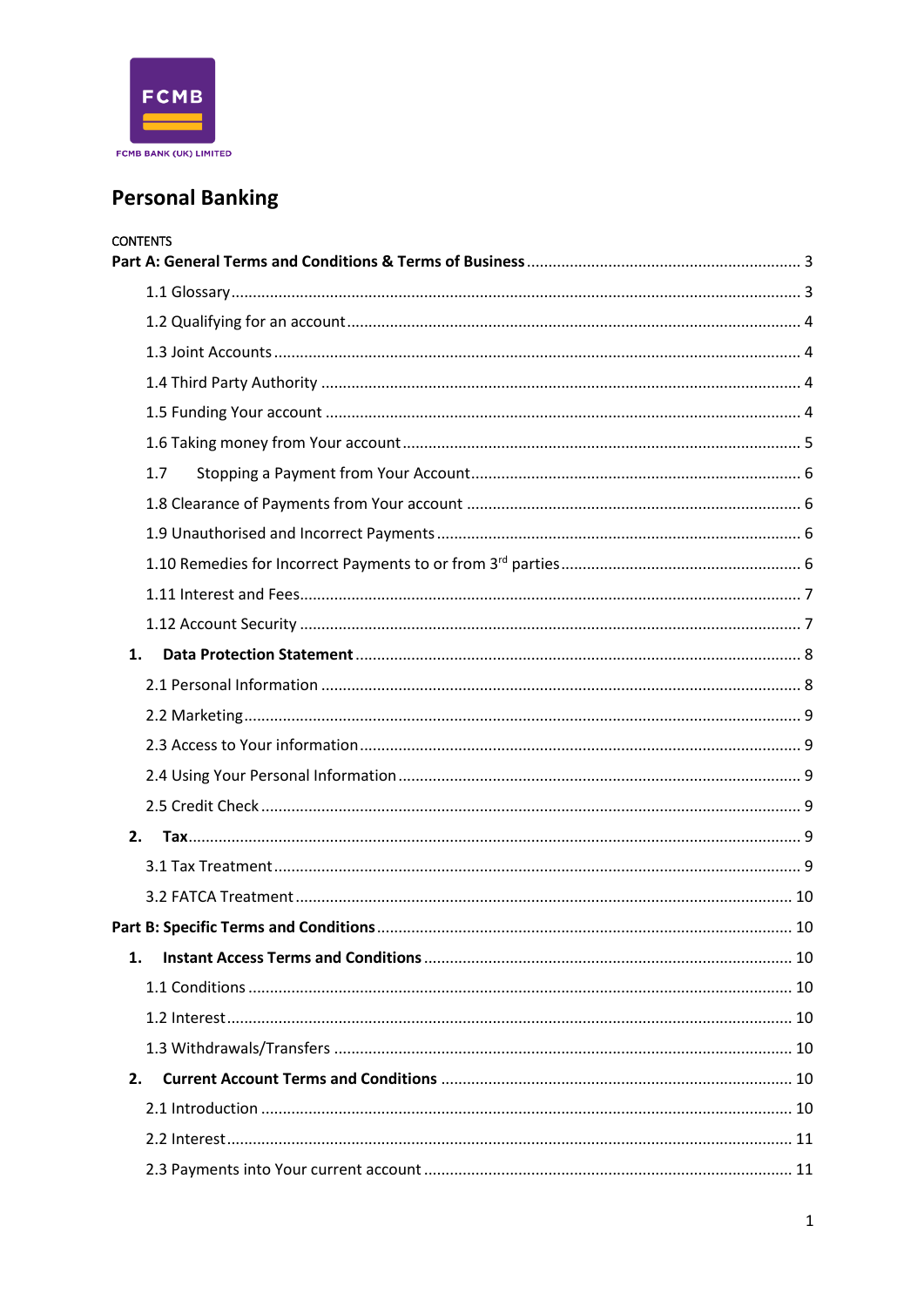

# **Personal Banking**

|    | <b>CONTENTS</b> |  |
|----|-----------------|--|
|    |                 |  |
|    |                 |  |
|    |                 |  |
|    |                 |  |
|    |                 |  |
|    |                 |  |
|    | 1.7             |  |
|    |                 |  |
|    |                 |  |
|    |                 |  |
|    |                 |  |
|    |                 |  |
| 1. |                 |  |
|    |                 |  |
|    |                 |  |
|    |                 |  |
|    |                 |  |
|    |                 |  |
|    | 2.              |  |
|    |                 |  |
|    |                 |  |
|    |                 |  |
| 1. |                 |  |
|    |                 |  |
|    |                 |  |
|    |                 |  |
| 2. |                 |  |
|    |                 |  |
|    |                 |  |
|    |                 |  |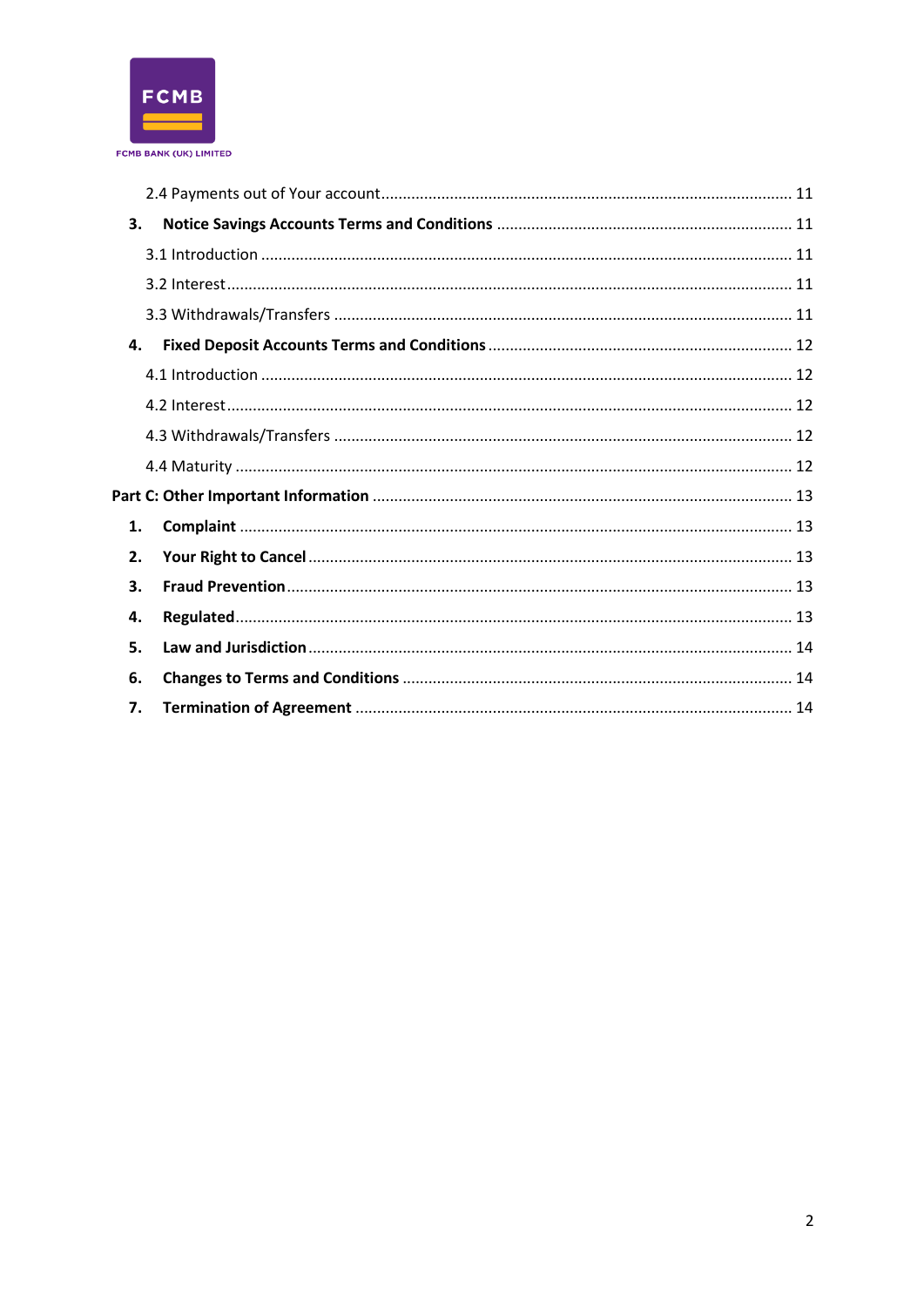

| 3. |  |  |  |  |
|----|--|--|--|--|
|    |  |  |  |  |
|    |  |  |  |  |
|    |  |  |  |  |
| 4. |  |  |  |  |
|    |  |  |  |  |
|    |  |  |  |  |
|    |  |  |  |  |
|    |  |  |  |  |
|    |  |  |  |  |
| 1. |  |  |  |  |
| 2. |  |  |  |  |
| 3. |  |  |  |  |
| 4. |  |  |  |  |
| 5. |  |  |  |  |
| 6. |  |  |  |  |
| 7. |  |  |  |  |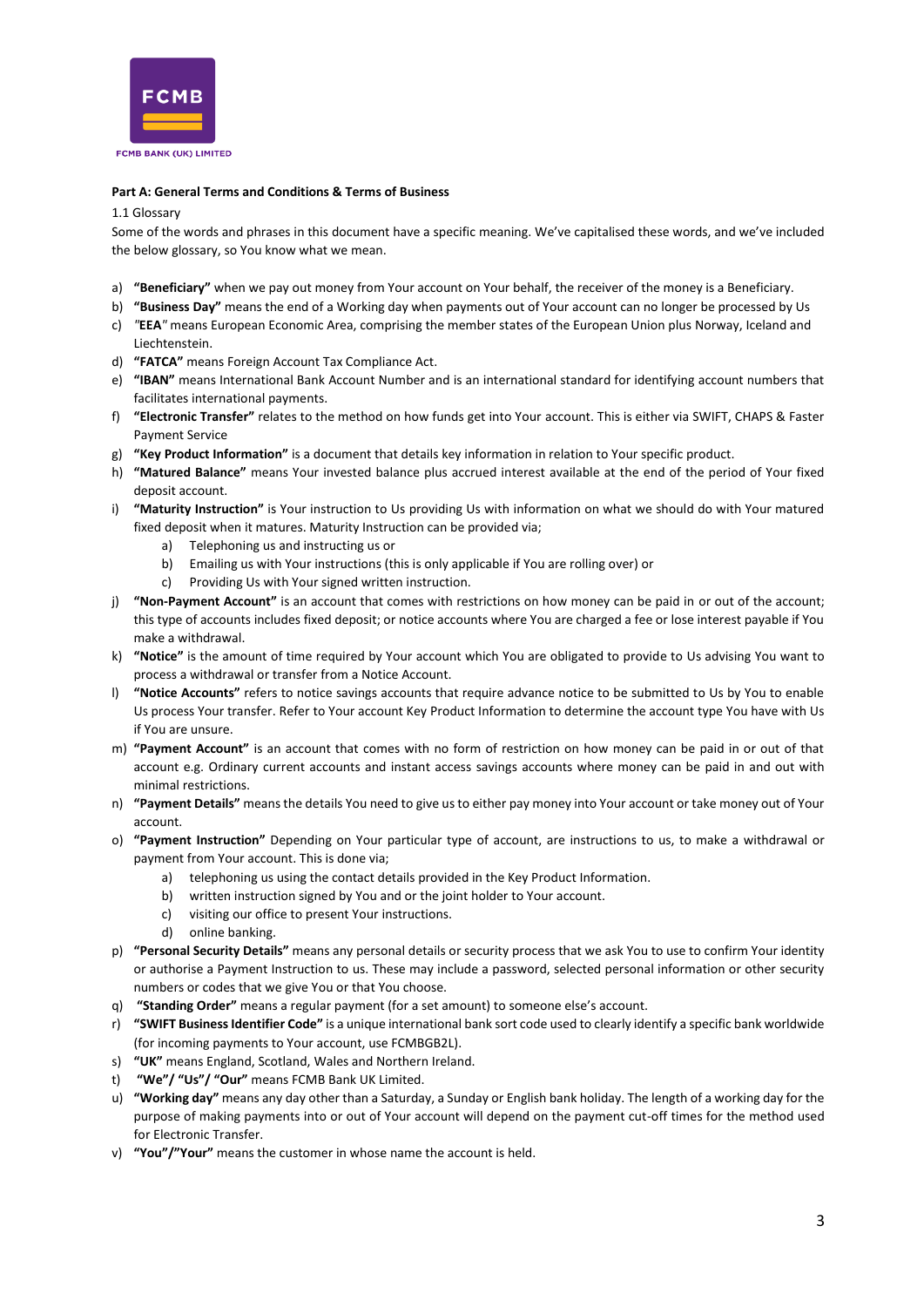

#### <span id="page-2-0"></span>**Part A: General Terms and Conditions & Terms of Business**

#### <span id="page-2-1"></span>1.1 Glossary

Some of the words and phrases in this document have a specific meaning. We've capitalised these words, and we've included the below glossary, so You know what we mean.

- a) **"Beneficiary"** when we pay out money from Your account on Your behalf, the receiver of the money is a Beneficiary.
- b) **"Business Day"** means the end of a Working day when payments out of Your account can no longer be processed by Us
- c) *"***EEA***"* means European Economic Area, comprising the member states of the European Union plus Norway, Iceland and Liechtenstein.
- d) **"FATCA"** means Foreign Account Tax Compliance Act.
- e) **"IBAN"** means International Bank Account Number and is an international standard for identifying account numbers that facilitates international payments.
- f) **"Electronic Transfer"** relates to the method on how funds get into Your account. This is either via SWIFT, CHAPS & Faster Payment Service
- g) **"Key Product Information"** is a document that details key information in relation to Your specific product.
- h) **"Matured Balance"** means Your invested balance plus accrued interest available at the end of the period of Your fixed deposit account.
- i) **"Maturity Instruction"** is Your instruction to Us providing Us with information on what we should do with Your matured fixed deposit when it matures. Maturity Instruction can be provided via;
	- a) Telephoning us and instructing us or
	- b) Emailing us with Your instructions (this is only applicable if You are rolling over) or
	- c) Providing Us with Your signed written instruction.
- j) **"Non-Payment Account"** is an account that comes with restrictions on how money can be paid in or out of the account; this type of accounts includes fixed deposit; or notice accounts where You are charged a fee or lose interest payable if You make a withdrawal.
- k) **"Notice"** is the amount of time required by Your account which You are obligated to provide to Us advising You want to process a withdrawal or transfer from a Notice Account.
- l) **"Notice Accounts"** refers to notice savings accounts that require advance notice to be submitted to Us by You to enable Us process Your transfer. Refer to Your account Key Product Information to determine the account type You have with Us if You are unsure.
- m) **"Payment Account"** is an account that comes with no form of restriction on how money can be paid in or out of that account e.g. Ordinary current accounts and instant access savings accounts where money can be paid in and out with minimal restrictions.
- n) **"Payment Details"** means the details You need to give us to either pay money into Your account or take money out of Your account.
- o) **"Payment Instruction"** Depending on Your particular type of account, are instructions to us, to make a withdrawal or payment from Your account. This is done via;
	- a) telephoning us using the contact details provided in the Key Product Information.
	- b) written instruction signed by You and or the joint holder to Your account.
	- c) visiting our office to present Your instructions.
	- d) online banking.
- p) **"Personal Security Details"** means any personal details or security process that we ask You to use to confirm Your identity or authorise a Payment Instruction to us. These may include a password, selected personal information or other security numbers or codes that we give You or that You choose.
- q) **"Standing Order"** means a regular payment (for a set amount) to someone else's account.
- r) **"SWIFT Business Identifier Code"** is a unique international bank sort code used to clearly identify a specific bank worldwide (for incoming payments to Your account, use FCMBGB2L).
- s) **"UK"** means England, Scotland, Wales and Northern Ireland.
- "We"/ "Us"/ "Our" means FCMB Bank UK Limited.
- u) **"Working day"** means any day other than a Saturday, a Sunday or English bank holiday. The length of a working day for the purpose of making payments into or out of Your account will depend on the payment cut-off times for the method used for Electronic Transfer.
- v) **"You"/"Your"** means the customer in whose name the account is held.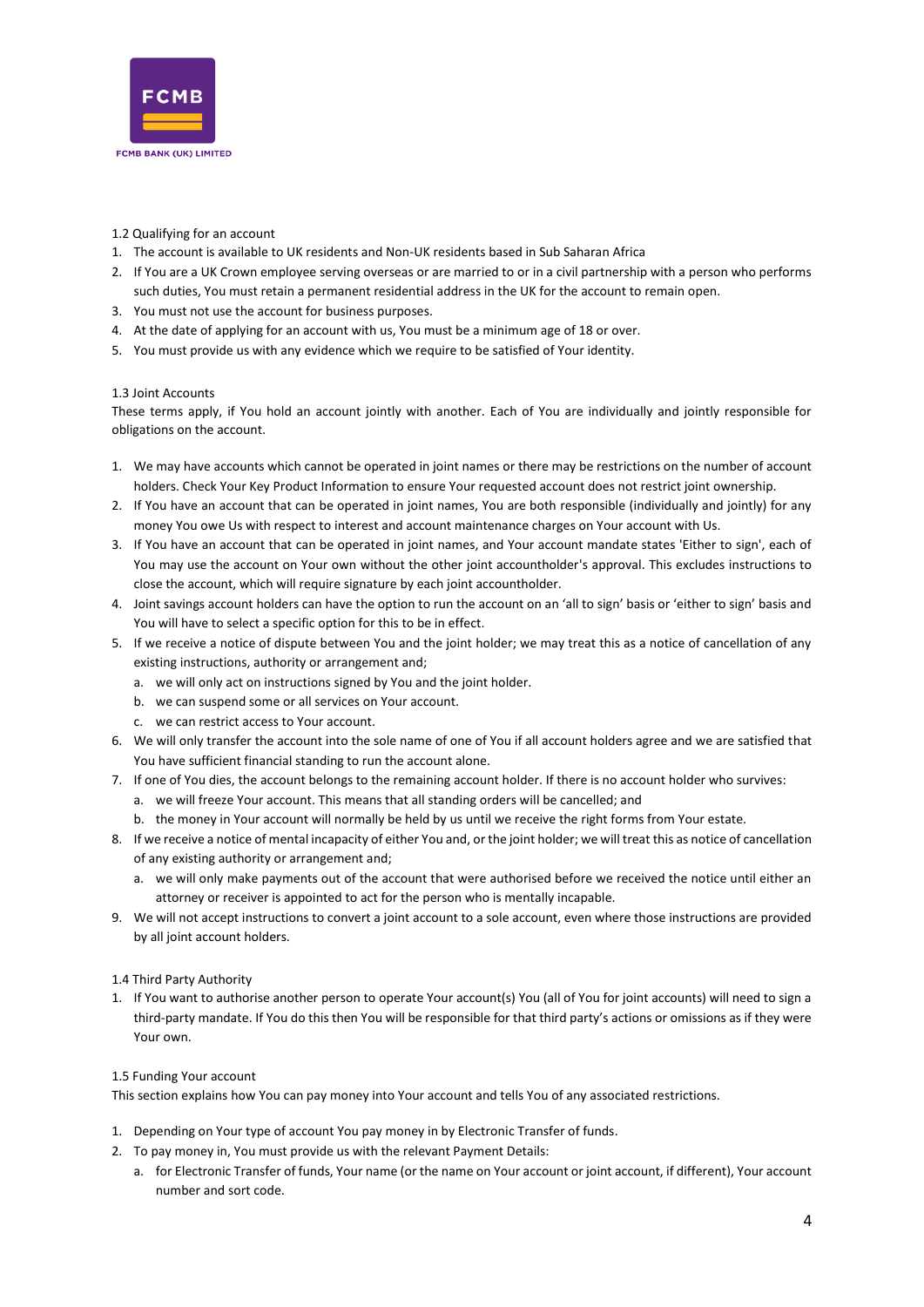

# <span id="page-3-0"></span>1.2 Qualifying for an account

- 1. The account is available to UK residents and Non-UK residents based in Sub Saharan Africa
- 2. If You are a UK Crown employee serving overseas or are married to or in a civil partnership with a person who performs such duties, You must retain a permanent residential address in the UK for the account to remain open.
- 3. You must not use the account for business purposes.
- 4. At the date of applying for an account with us, You must be a minimum age of 18 or over.
- 5. You must provide us with any evidence which we require to be satisfied of Your identity.

# <span id="page-3-1"></span>1.3 Joint Accounts

These terms apply, if You hold an account jointly with another. Each of You are individually and jointly responsible for obligations on the account.

- 1. We may have accounts which cannot be operated in joint names or there may be restrictions on the number of account holders. Check Your Key Product Information to ensure Your requested account does not restrict joint ownership.
- 2. If You have an account that can be operated in joint names, You are both responsible (individually and jointly) for any money You owe Us with respect to interest and account maintenance charges on Your account with Us.
- 3. If You have an account that can be operated in joint names, and Your account mandate states 'Either to sign', each of You may use the account on Your own without the other joint accountholder's approval. This excludes instructions to close the account, which will require signature by each joint accountholder.
- 4. Joint savings account holders can have the option to run the account on an 'all to sign' basis or 'either to sign' basis and You will have to select a specific option for this to be in effect.
- 5. If we receive a notice of dispute between You and the joint holder; we may treat this as a notice of cancellation of any existing instructions, authority or arrangement and;
	- a. we will only act on instructions signed by You and the joint holder.
	- b. we can suspend some or all services on Your account.
	- c. we can restrict access to Your account.
- 6. We will only transfer the account into the sole name of one of You if all account holders agree and we are satisfied that You have sufficient financial standing to run the account alone.
- 7. If one of You dies, the account belongs to the remaining account holder. If there is no account holder who survives: a. we will freeze Your account. This means that all standing orders will be cancelled; and
	- b. the money in Your account will normally be held by us until we receive the right forms from Your estate.
- 8. If we receive a notice of mental incapacity of either You and, or the joint holder; we will treat this as notice of cancellation of any existing authority or arrangement and;
	- a. we will only make payments out of the account that were authorised before we received the notice until either an attorney or receiver is appointed to act for the person who is mentally incapable.
- 9. We will not accept instructions to convert a joint account to a sole account, even where those instructions are provided by all joint account holders.

#### <span id="page-3-2"></span>1.4 Third Party Authority

1. If You want to authorise another person to operate Your account(s) You (all of You for joint accounts) will need to sign a third-party mandate. If You do this then You will be responsible for that third party's actions or omissions as if they were Your own.

#### <span id="page-3-3"></span>1.5 Funding Your account

This section explains how You can pay money into Your account and tells You of any associated restrictions.

- 1. Depending on Your type of account You pay money in by Electronic Transfer of funds.
- 2. To pay money in, You must provide us with the relevant Payment Details:
	- a. for Electronic Transfer of funds, Your name (or the name on Your account or joint account, if different), Your account number and sort code.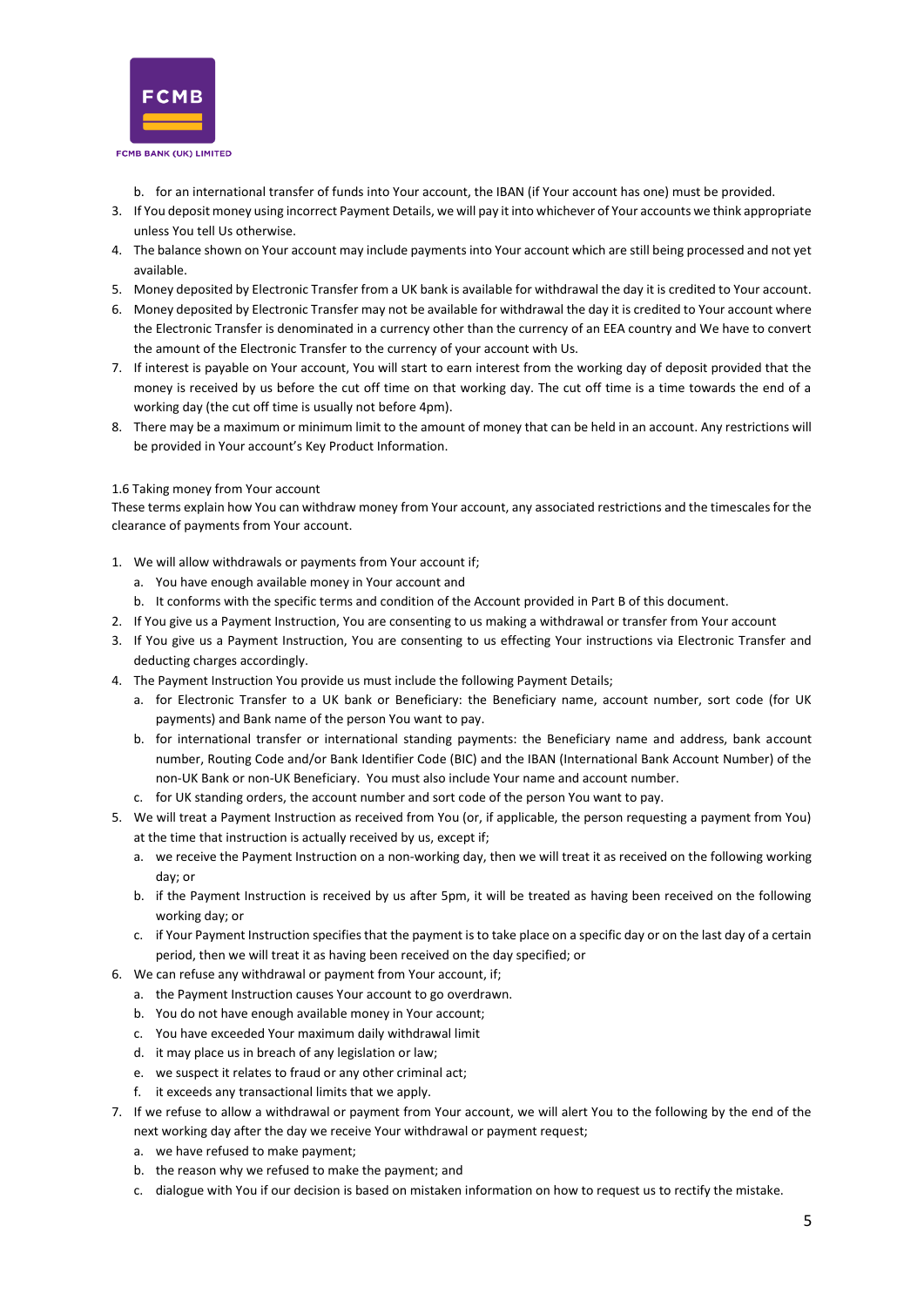

b. for an international transfer of funds into Your account, the IBAN (if Your account has one) must be provided.

- 3. If You deposit money using incorrect Payment Details, we will pay it into whichever of Your accounts we think appropriate unless You tell Us otherwise.
- 4. The balance shown on Your account may include payments into Your account which are still being processed and not yet available.
- 5. Money deposited by Electronic Transfer from a UK bank is available for withdrawal the day it is credited to Your account.
- 6. Money deposited by Electronic Transfer may not be available for withdrawal the day it is credited to Your account where the Electronic Transfer is denominated in a currency other than the currency of an EEA country and We have to convert the amount of the Electronic Transfer to the currency of your account with Us.
- 7. If interest is payable on Your account, You will start to earn interest from the working day of deposit provided that the money is received by us before the cut off time on that working day. The cut off time is a time towards the end of a working day (the cut off time is usually not before 4pm).
- 8. There may be a maximum or minimum limit to the amount of money that can be held in an account. Any restrictions will be provided in Your account's Key Product Information.

# <span id="page-4-0"></span>1.6 Taking money from Your account

These terms explain how You can withdraw money from Your account, any associated restrictions and the timescales for the clearance of payments from Your account.

- 1. We will allow withdrawals or payments from Your account if;
	- a. You have enough available money in Your account and
	- b. It conforms with the specific terms and condition of the Account provided in Part B of this document.
- 2. If You give us a Payment Instruction, You are consenting to us making a withdrawal or transfer from Your account
- 3. If You give us a Payment Instruction, You are consenting to us effecting Your instructions via Electronic Transfer and deducting charges accordingly.
- 4. The Payment Instruction You provide us must include the following Payment Details;
	- a. for Electronic Transfer to a UK bank or Beneficiary: the Beneficiary name, account number, sort code (for UK payments) and Bank name of the person You want to pay.
	- b. for international transfer or international standing payments: the Beneficiary name and address, bank account number, Routing Code and/or Bank Identifier Code (BIC) and the IBAN (International Bank Account Number) of the non-UK Bank or non-UK Beneficiary. You must also include Your name and account number.
	- c. for UK standing orders, the account number and sort code of the person You want to pay.
- 5. We will treat a Payment Instruction as received from You (or, if applicable, the person requesting a payment from You) at the time that instruction is actually received by us, except if;
	- a. we receive the Payment Instruction on a non-working day, then we will treat it as received on the following working day; or
	- b. if the Payment Instruction is received by us after 5pm, it will be treated as having been received on the following working day; or
	- c. if Your Payment Instruction specifies that the payment is to take place on a specific day or on the last day of a certain period, then we will treat it as having been received on the day specified; or
- 6. We can refuse any withdrawal or payment from Your account, if;
	- a. the Payment Instruction causes Your account to go overdrawn.
	- b. You do not have enough available money in Your account;
	- c. You have exceeded Your maximum daily withdrawal limit
	- d. it may place us in breach of any legislation or law;
	- e. we suspect it relates to fraud or any other criminal act;
	- f. it exceeds any transactional limits that we apply.
- 7. If we refuse to allow a withdrawal or payment from Your account, we will alert You to the following by the end of the next working day after the day we receive Your withdrawal or payment request;
	- a. we have refused to make payment;
	- b. the reason why we refused to make the payment; and
	- c. dialogue with You if our decision is based on mistaken information on how to request us to rectify the mistake.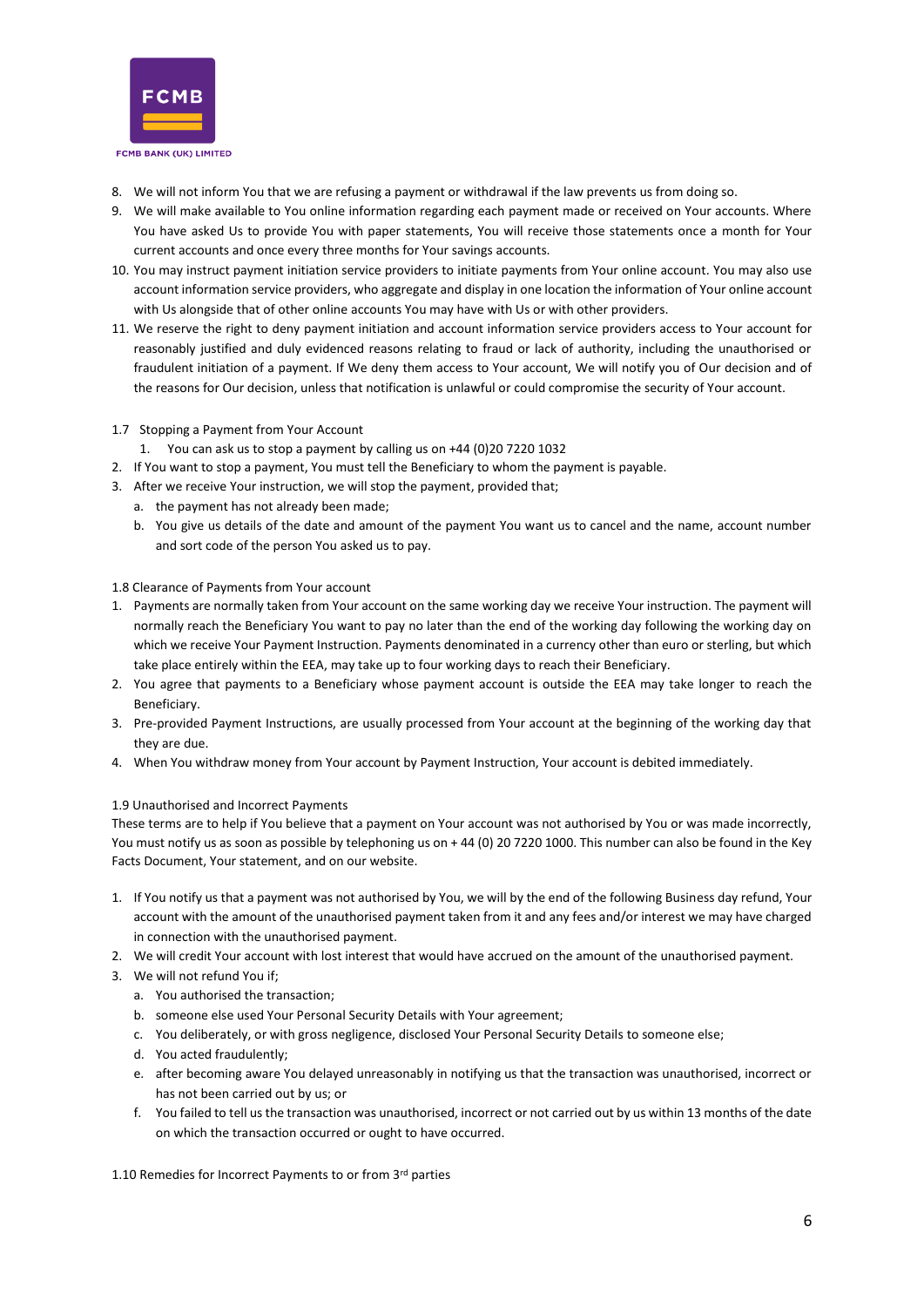

- 8. We will not inform You that we are refusing a payment or withdrawal if the law prevents us from doing so.
- 9. We will make available to You online information regarding each payment made or received on Your accounts. Where You have asked Us to provide You with paper statements, You will receive those statements once a month for Your current accounts and once every three months for Your savings accounts.
- 10. You may instruct payment initiation service providers to initiate payments from Your online account. You may also use account information service providers, who aggregate and display in one location the information of Your online account with Us alongside that of other online accounts You may have with Us or with other providers.
- 11. We reserve the right to deny payment initiation and account information service providers access to Your account for reasonably justified and duly evidenced reasons relating to fraud or lack of authority, including the unauthorised or fraudulent initiation of a payment. If We deny them access to Your account, We will notify you of Our decision and of the reasons for Our decision, unless that notification is unlawful or could compromise the security of Your account.
- <span id="page-5-0"></span>1.7 Stopping a Payment from Your Account
	- 1. You can ask us to stop a payment by calling us on +44 (0)20 7220 1032
- 2. If You want to stop a payment, You must tell the Beneficiary to whom the payment is payable.
- 3. After we receive Your instruction, we will stop the payment, provided that;
	- a. the payment has not already been made;
		- b. You give us details of the date and amount of the payment You want us to cancel and the name, account number and sort code of the person You asked us to pay.

#### <span id="page-5-1"></span>1.8 Clearance of Payments from Your account

- 1. Payments are normally taken from Your account on the same working day we receive Your instruction. The payment will normally reach the Beneficiary You want to pay no later than the end of the working day following the working day on which we receive Your Payment Instruction. Payments denominated in a currency other than euro or sterling, but which take place entirely within the EEA, may take up to four working days to reach their Beneficiary.
- 2. You agree that payments to a Beneficiary whose payment account is outside the EEA may take longer to reach the Beneficiary.
- 3. Pre-provided Payment Instructions, are usually processed from Your account at the beginning of the working day that they are due.
- 4. When You withdraw money from Your account by Payment Instruction, Your account is debited immediately.

#### <span id="page-5-2"></span>1.9 Unauthorised and Incorrect Payments

These terms are to help if You believe that a payment on Your account was not authorised by You or was made incorrectly, You must notify us as soon as possible by telephoning us on + 44 (0) 20 7220 1000. This number can also be found in the Key Facts Document, Your statement, and on our website.

- 1. If You notify us that a payment was not authorised by You, we will by the end of the following Business day refund, Your account with the amount of the unauthorised payment taken from it and any fees and/or interest we may have charged in connection with the unauthorised payment.
- 2. We will credit Your account with lost interest that would have accrued on the amount of the unauthorised payment.
- 3. We will not refund You if;
	- a. You authorised the transaction;
	- b. someone else used Your Personal Security Details with Your agreement;
	- c. You deliberately, or with gross negligence, disclosed Your Personal Security Details to someone else;
	- d. You acted fraudulently;
	- e. after becoming aware You delayed unreasonably in notifying us that the transaction was unauthorised, incorrect or has not been carried out by us; or
	- f. You failed to tell us the transaction was unauthorised, incorrect or not carried out by us within 13 months of the date on which the transaction occurred or ought to have occurred.

<span id="page-5-3"></span>1.10 Remedies for Incorrect Payments to or from 3rd parties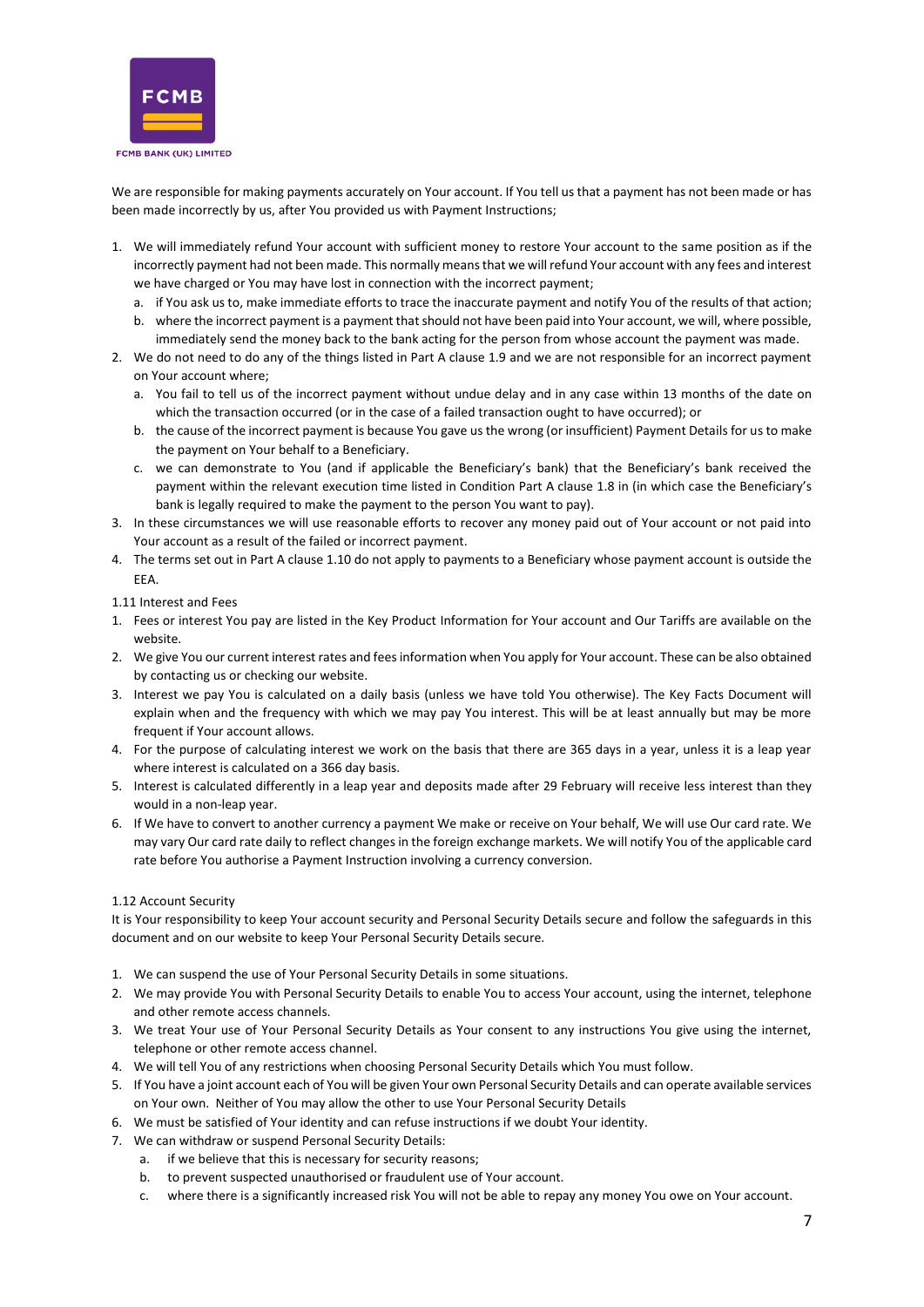

We are responsible for making payments accurately on Your account. If You tell us that a payment has not been made or has been made incorrectly by us, after You provided us with Payment Instructions;

- 1. We will immediately refund Your account with sufficient money to restore Your account to the same position as if the incorrectly payment had not been made. This normally means that we will refund Your account with any fees and interest we have charged or You may have lost in connection with the incorrect payment;
	- a. if You ask us to, make immediate efforts to trace the inaccurate payment and notify You of the results of that action;
	- b. where the incorrect payment is a payment that should not have been paid into Your account, we will, where possible, immediately send the money back to the bank acting for the person from whose account the payment was made.
- 2. We do not need to do any of the things listed in Part A clause 1.9 and we are not responsible for an incorrect payment on Your account where;
	- a. You fail to tell us of the incorrect payment without undue delay and in any case within 13 months of the date on which the transaction occurred (or in the case of a failed transaction ought to have occurred); or
	- b. the cause of the incorrect payment is because You gave us the wrong (or insufficient) Payment Details for us to make the payment on Your behalf to a Beneficiary.
	- c. we can demonstrate to You (and if applicable the Beneficiary's bank) that the Beneficiary's bank received the payment within the relevant execution time listed in Condition Part A clause 1.8 in (in which case the Beneficiary's bank is legally required to make the payment to the person You want to pay).
- 3. In these circumstances we will use reasonable efforts to recover any money paid out of Your account or not paid into Your account as a result of the failed or incorrect payment.
- 4. The terms set out in Part A clause 1.10 do not apply to payments to a Beneficiary whose payment account is outside the EEA.

<span id="page-6-0"></span>1.11 Interest and Fees

- 1. Fees or interest You pay are listed in the Key Product Information for Your account and Our Tariffs are available on the website.
- 2. We give You our current interest rates and fees information when You apply for Your account. These can be also obtained by contacting us or checking our website.
- 3. Interest we pay You is calculated on a daily basis (unless we have told You otherwise). The Key Facts Document will explain when and the frequency with which we may pay You interest. This will be at least annually but may be more frequent if Your account allows.
- 4. For the purpose of calculating interest we work on the basis that there are 365 days in a year, unless it is a leap year where interest is calculated on a 366 day basis.
- 5. Interest is calculated differently in a leap year and deposits made after 29 February will receive less interest than they would in a non-leap year.
- 6. If We have to convert to another currency a payment We make or receive on Your behalf, We will use Our card rate. We may vary Our card rate daily to reflect changes in the foreign exchange markets. We will notify You of the applicable card rate before You authorise a Payment Instruction involving a currency conversion.

#### <span id="page-6-1"></span>1.12 Account Security

It is Your responsibility to keep Your account security and Personal Security Details secure and follow the safeguards in this document and on our website to keep Your Personal Security Details secure.

- 1. We can suspend the use of Your Personal Security Details in some situations.
- 2. We may provide You with Personal Security Details to enable You to access Your account, using the internet, telephone and other remote access channels.
- 3. We treat Your use of Your Personal Security Details as Your consent to any instructions You give using the internet, telephone or other remote access channel.
- 4. We will tell You of any restrictions when choosing Personal Security Details which You must follow.
- 5. If You have a joint account each of You will be given Your own Personal Security Details and can operate available services on Your own. Neither of You may allow the other to use Your Personal Security Details
- 6. We must be satisfied of Your identity and can refuse instructions if we doubt Your identity.
- 7. We can withdraw or suspend Personal Security Details:
	- a. if we believe that this is necessary for security reasons;
	- b. to prevent suspected unauthorised or fraudulent use of Your account.
	- c. where there is a significantly increased risk You will not be able to repay any money You owe on Your account.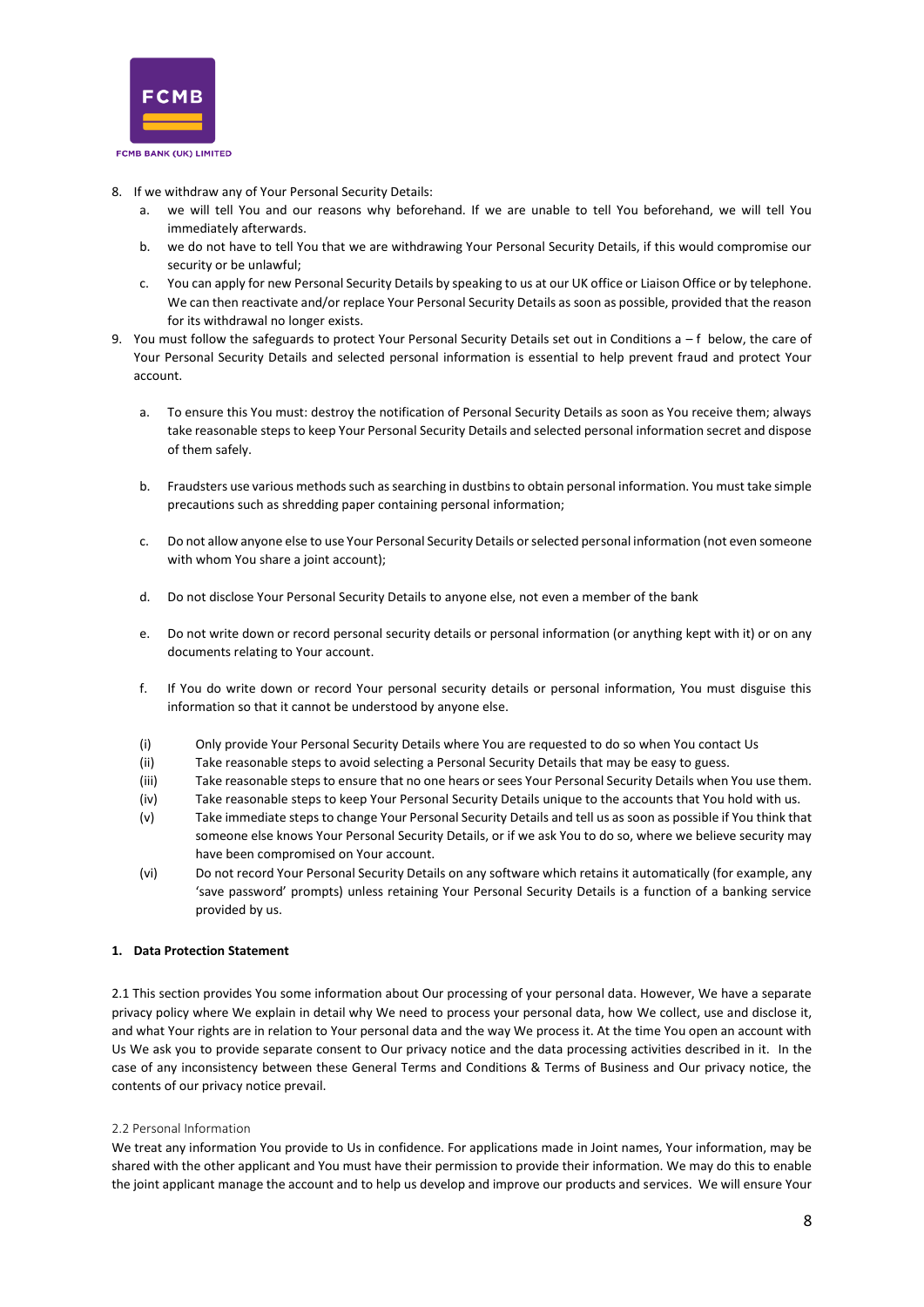

- 8. If we withdraw any of Your Personal Security Details:
	- a. we will tell You and our reasons why beforehand. If we are unable to tell You beforehand, we will tell You immediately afterwards.
	- b. we do not have to tell You that we are withdrawing Your Personal Security Details, if this would compromise our security or be unlawful;
	- c. You can apply for new Personal Security Details by speaking to us at our UK office or Liaison Office or by telephone. We can then reactivate and/or replace Your Personal Security Details as soon as possible, provided that the reason for its withdrawal no longer exists.
- 9. You must follow the safeguards to protect Your Personal Security Details set out in Conditions a f below, the care of Your Personal Security Details and selected personal information is essential to help prevent fraud and protect Your account.
	- a. To ensure this You must: destroy the notification of Personal Security Details as soon as You receive them; always take reasonable steps to keep Your Personal Security Details and selected personal information secret and dispose of them safely.
	- b. Fraudsters use various methods such as searching in dustbins to obtain personal information. You must take simple precautions such as shredding paper containing personal information;
	- c. Do not allow anyone else to use Your Personal Security Details or selected personal information (not even someone with whom You share a joint account);
	- d. Do not disclose Your Personal Security Details to anyone else, not even a member of the bank
	- e. Do not write down or record personal security details or personal information (or anything kept with it) or on any documents relating to Your account.
	- f. If You do write down or record Your personal security details or personal information, You must disguise this information so that it cannot be understood by anyone else.
	- (i) Only provide Your Personal Security Details where You are requested to do so when You contact Us
	- (ii) Take reasonable steps to avoid selecting a Personal Security Details that may be easy to guess.
	- (iii) Take reasonable steps to ensure that no one hears or sees Your Personal Security Details when You use them.
	- (iv) Take reasonable steps to keep Your Personal Security Details unique to the accounts that You hold with us.
	- (v) Take immediate steps to change Your Personal Security Details and tell us as soon as possible if You think that someone else knows Your Personal Security Details, or if we ask You to do so, where we believe security may have been compromised on Your account.
	- (vi) Do not record Your Personal Security Details on any software which retains it automatically (for example, any 'save password' prompts) unless retaining Your Personal Security Details is a function of a banking service provided by us.

# <span id="page-7-1"></span><span id="page-7-0"></span>**1. Data Protection Statement**

2.1 This section provides You some information about Our processing of your personal data. However, We have a separate privacy policy where We explain in detail why We need to process your personal data, how We collect, use and disclose it, and what Your rights are in relation to Your personal data and the way We process it. At the time You open an account with Us We ask you to provide separate consent to Our privacy notice and the data processing activities described in it. In the case of any inconsistency between these General Terms and Conditions & Terms of Business and Our privacy notice, the contents of our privacy notice prevail.

#### 2.2 Personal Information

We treat any information You provide to Us in confidence. For applications made in Joint names, Your information, may be shared with the other applicant and You must have their permission to provide their information. We may do this to enable the joint applicant manage the account and to help us develop and improve our products and services. We will ensure Your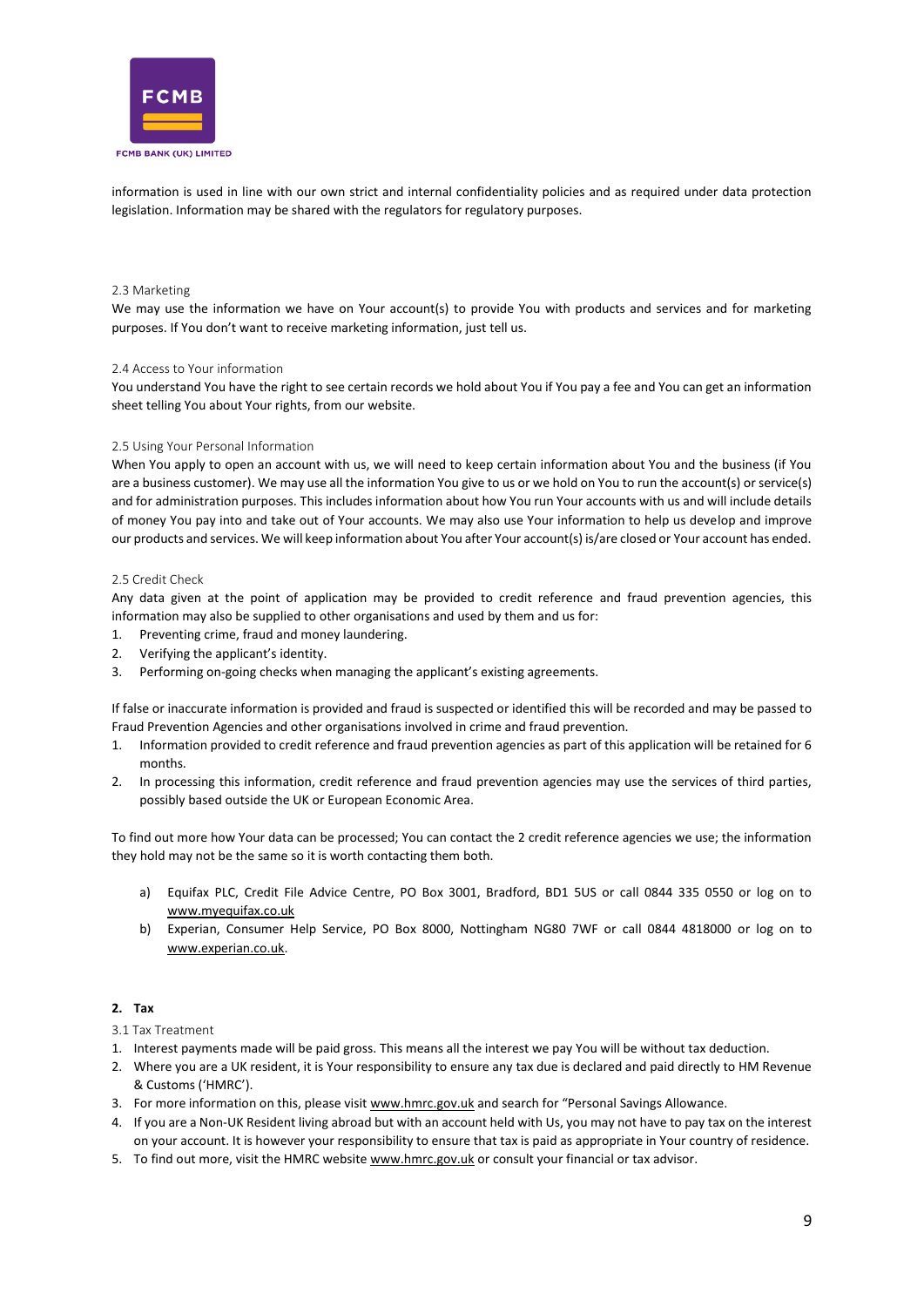

information is used in line with our own strict and internal confidentiality policies and as required under data protection legislation. Information may be shared with the regulators for regulatory purposes.

#### <span id="page-8-0"></span>2.3 Marketing

We may use the information we have on Your account(s) to provide You with products and services and for marketing purposes. If You don't want to receive marketing information, just tell us.

#### <span id="page-8-1"></span>2.4 Access to Your information

You understand You have the right to see certain records we hold about You if You pay a fee and You can get an information sheet telling You about Your rights, from our website.

#### <span id="page-8-2"></span>2.5 Using Your Personal Information

When You apply to open an account with us, we will need to keep certain information about You and the business (if You are a business customer). We may use all the information You give to us or we hold on You to run the account(s) or service(s) and for administration purposes. This includes information about how You run Your accounts with us and will include details of money You pay into and take out of Your accounts. We may also use Your information to help us develop and improve our products and services. We will keep information about You after Your account(s) is/are closed or Your account has ended.

#### <span id="page-8-3"></span>2.5 Credit Check

Any data given at the point of application may be provided to credit reference and fraud prevention agencies, this information may also be supplied to other organisations and used by them and us for:

- 1. Preventing crime, fraud and money laundering.
- 2. Verifying the applicant's identity.
- 3. Performing on-going checks when managing the applicant's existing agreements.

If false or inaccurate information is provided and fraud is suspected or identified this will be recorded and may be passed to Fraud Prevention Agencies and other organisations involved in crime and fraud prevention.

- 1. Information provided to credit reference and fraud prevention agencies as part of this application will be retained for 6 months.
- 2. In processing this information, credit reference and fraud prevention agencies may use the services of third parties, possibly based outside the UK or European Economic Area.

To find out more how Your data can be processed; You can contact the 2 credit reference agencies we use; the information they hold may not be the same so it is worth contacting them both.

- a) Equifax PLC, Credit File Advice Centre, PO Box 3001, Bradford, BD1 5US or call 0844 335 0550 or log on to [www.myequifax.co.uk](http://www.myequifax.co.uk/)
- b) Experian, Consumer Help Service, PO Box 8000, Nottingham NG80 7WF or call 0844 4818000 or log on to [www.experian.co.uk.](http://www.experian.co.uk/)

#### <span id="page-8-4"></span>**2. Tax**

- <span id="page-8-5"></span>3.1 Tax Treatment
- 1. Interest payments made will be paid gross. This means all the interest we pay You will be without tax deduction.
- 2. Where you are a UK resident, it is Your responsibility to ensure any tax due is declared and paid directly to HM Revenue & Customs ('HMRC').
- 3. For more information on this, please visit [www.hmrc.gov.uk](http://www.hmrc.gov.uk/) and search for "Personal Savings Allowance.
- 4. If you are a Non-UK Resident living abroad but with an account held with Us, you may not have to pay tax on the interest on your account. It is however your responsibility to ensure that tax is paid as appropriate in Your country of residence.
- 5. To find out more, visit the HMRC website [www.hmrc.gov.uk](http://www.hmrc.gov.uk/) or consult your financial or tax advisor.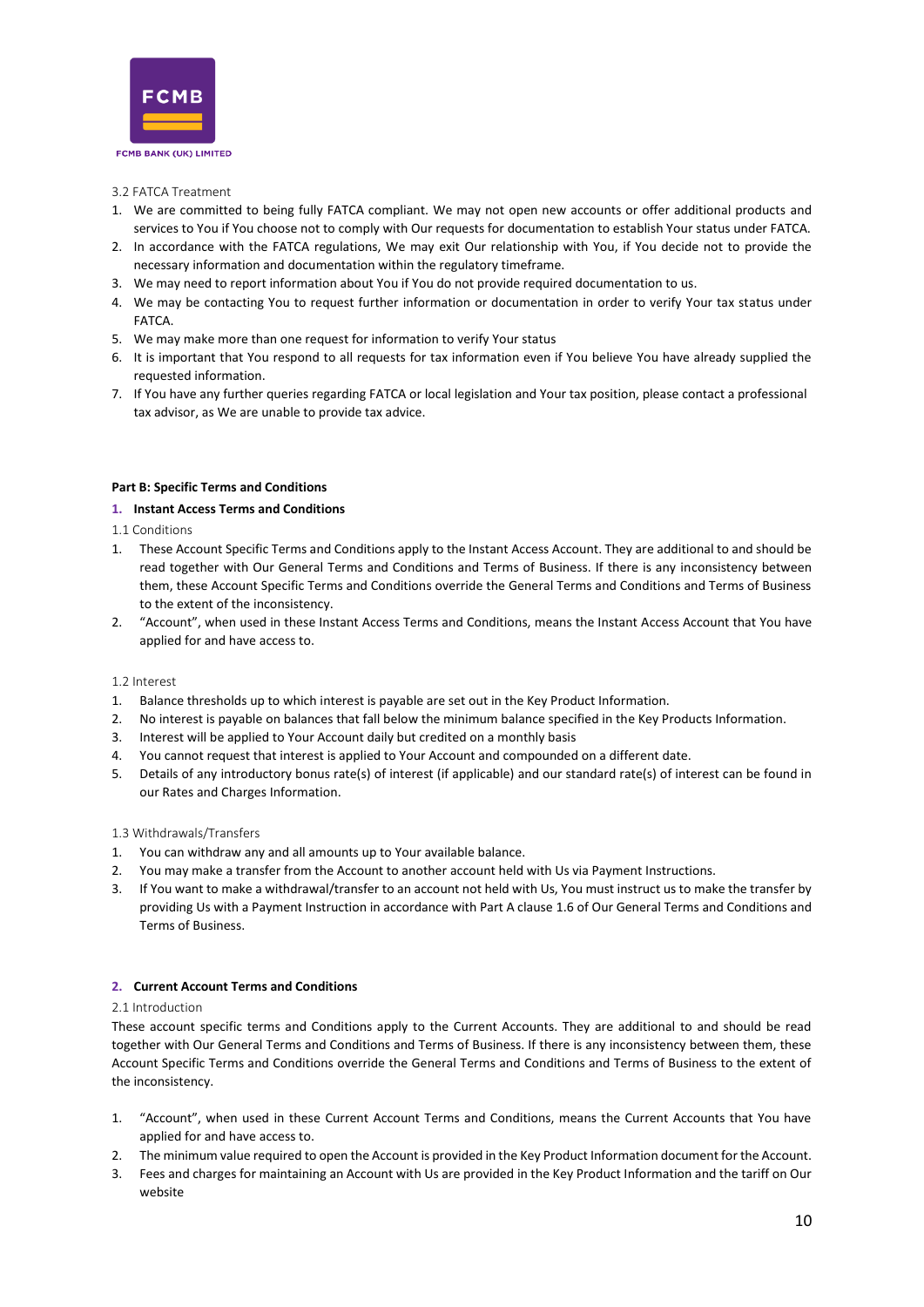

#### <span id="page-9-0"></span>3.2 FATCA Treatment

- 1. We are committed to being fully FATCA compliant. We may not open new accounts or offer additional products and services to You if You choose not to comply with Our requests for documentation to establish Your status under FATCA.
- 2. In accordance with the FATCA regulations, We may exit Our relationship with You, if You decide not to provide the necessary information and documentation within the regulatory timeframe.
- 3. We may need to report information about You if You do not provide required documentation to us.
- 4. We may be contacting You to request further information or documentation in order to verify Your tax status under FATCA.
- 5. We may make more than one request for information to verify Your status
- 6. It is important that You respond to all requests for tax information even if You believe You have already supplied the requested information.
- 7. If You have any further queries regarding FATCA or local legislation and Your tax position, please contact a professional tax advisor, as We are unable to provide tax advice.

# <span id="page-9-1"></span>**Part B: Specific Terms and Conditions**

# <span id="page-9-2"></span>**1. Instant Access Terms and Conditions**

<span id="page-9-3"></span>1.1 Conditions

- 1. These Account Specific Terms and Conditions apply to the Instant Access Account. They are additional to and should be read together with Our General Terms and Conditions and Terms of Business. If there is any inconsistency between them, these Account Specific Terms and Conditions override the General Terms and Conditions and Terms of Business to the extent of the inconsistency.
- 2. "Account", when used in these Instant Access Terms and Conditions, means the Instant Access Account that You have applied for and have access to.

#### <span id="page-9-4"></span>1.2 Interest

- 1. Balance thresholds up to which interest is payable are set out in the Key Product Information.
- 2. No interest is payable on balances that fall below the minimum balance specified in the Key Products Information.
- 3. Interest will be applied to Your Account daily but credited on a monthly basis
- 4. You cannot request that interest is applied to Your Account and compounded on a different date.
- 5. Details of any introductory bonus rate(s) of interest (if applicable) and our standard rate(s) of interest can be found in our Rates and Charges Information.

#### <span id="page-9-5"></span>1.3 Withdrawals/Transfers

- 1. You can withdraw any and all amounts up to Your available balance.
- 2. You may make a transfer from the Account to another account held with Us via Payment Instructions.
- 3. If You want to make a withdrawal/transfer to an account not held with Us, You must instruct us to make the transfer by providing Us with a Payment Instruction in accordance with Part A clause 1.6 of Our General Terms and Conditions and Terms of Business.

#### <span id="page-9-6"></span>**2. Current Account Terms and Conditions**

#### <span id="page-9-7"></span>2.1 Introduction

These account specific terms and Conditions apply to the Current Accounts. They are additional to and should be read together with Our General Terms and Conditions and Terms of Business. If there is any inconsistency between them, these Account Specific Terms and Conditions override the General Terms and Conditions and Terms of Business to the extent of the inconsistency.

- 1. "Account", when used in these Current Account Terms and Conditions, means the Current Accounts that You have applied for and have access to.
- 2. The minimum value required to open the Account is provided in the Key Product Information document for the Account.
- 3. Fees and charges for maintaining an Account with Us are provided in the Key Product Information and the tariff on Our website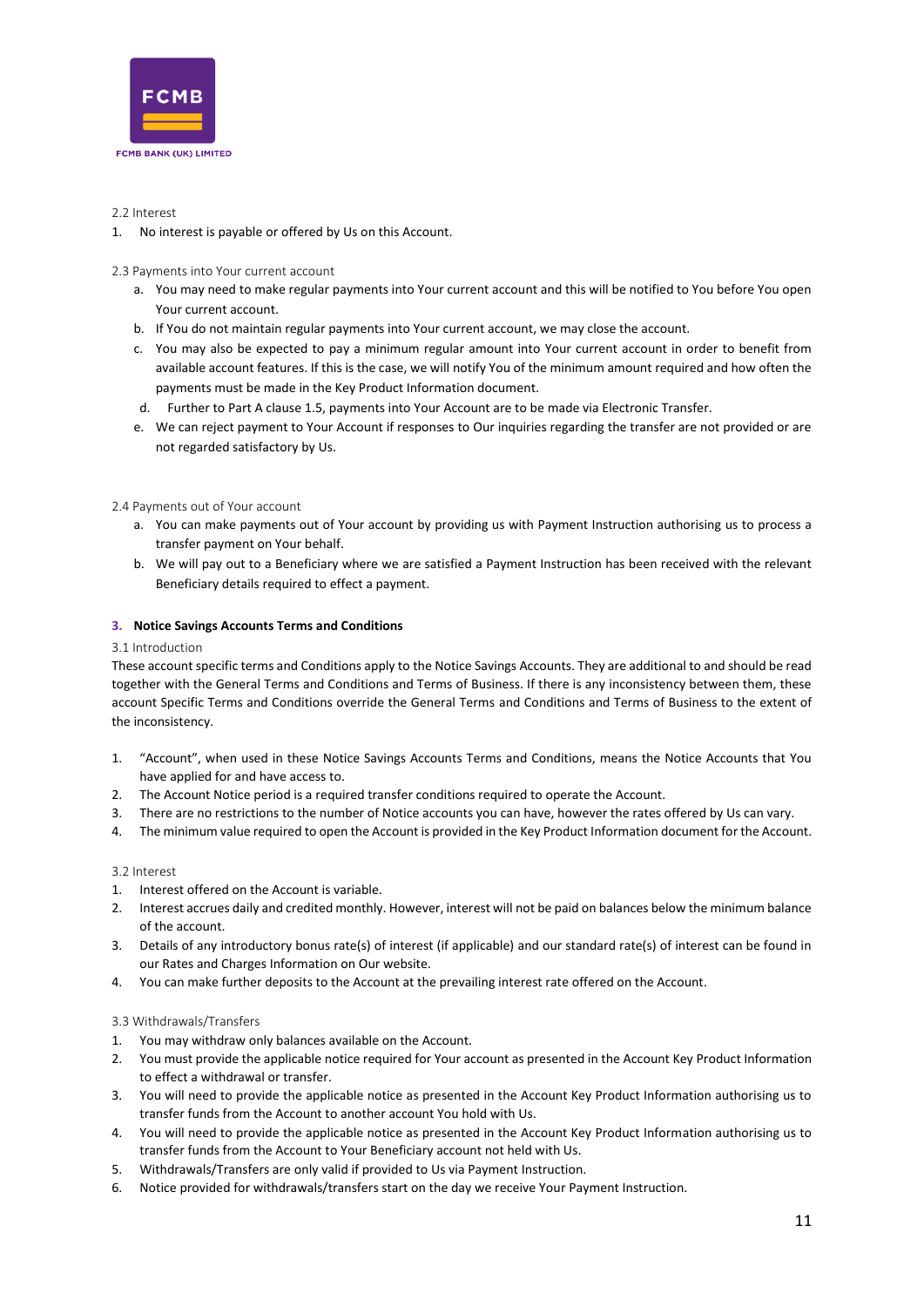

# <span id="page-10-0"></span>2.2 Interest

1. No interest is payable or offered by Us on this Account.

# <span id="page-10-1"></span>2.3 Payments into Your current account

- a. You may need to make regular payments into Your current account and this will be notified to You before You open Your current account.
- b. If You do not maintain regular payments into Your current account, we may close the account.
- c. You may also be expected to pay a minimum regular amount into Your current account in order to benefit from available account features. If this is the case, we will notify You of the minimum amount required and how often the payments must be made in the Key Product Information document.
- d. Further to Part A clause 1.5, payments into Your Account are to be made via Electronic Transfer.
- e. We can reject payment to Your Account if responses to Our inquiries regarding the transfer are not provided or are not regarded satisfactory by Us.

# <span id="page-10-2"></span>2.4 Payments out of Your account

- a. You can make payments out of Your account by providing us with Payment Instruction authorising us to process a transfer payment on Your behalf.
- b. We will pay out to a Beneficiary where we are satisfied a Payment Instruction has been received with the relevant Beneficiary details required to effect a payment.

# <span id="page-10-3"></span>**3. Notice Savings Accounts Terms and Conditions**

#### <span id="page-10-4"></span>3.1 Introduction

These account specific terms and Conditions apply to the Notice Savings Accounts. They are additional to and should be read together with the General Terms and Conditions and Terms of Business. If there is any inconsistency between them, these account Specific Terms and Conditions override the General Terms and Conditions and Terms of Business to the extent of the inconsistency.

- 1. "Account", when used in these Notice Savings Accounts Terms and Conditions, means the Notice Accounts that You have applied for and have access to.
- 2. The Account Notice period is a required transfer conditions required to operate the Account.
- 3. There are no restrictions to the number of Notice accounts you can have, however the rates offered by Us can vary.
- 4. The minimum value required to open the Account is provided in the Key Product Information document for the Account.

#### <span id="page-10-5"></span>3.2 Interest

- 1. Interest offered on the Account is variable.
- 2. Interest accrues daily and credited monthly. However, interest will not be paid on balances below the minimum balance of the account.
- 3. Details of any introductory bonus rate(s) of interest (if applicable) and our standard rate(s) of interest can be found in our Rates and Charges Information on Our website.
- 4. You can make further deposits to the Account at the prevailing interest rate offered on the Account.

#### <span id="page-10-6"></span>3.3 Withdrawals/Transfers

- 1. You may withdraw only balances available on the Account.
- 2. You must provide the applicable notice required for Your account as presented in the Account Key Product Information to effect a withdrawal or transfer.
- 3. You will need to provide the applicable notice as presented in the Account Key Product Information authorising us to transfer funds from the Account to another account You hold with Us.
- 4. You will need to provide the applicable notice as presented in the Account Key Product Information authorising us to transfer funds from the Account to Your Beneficiary account not held with Us.
- 5. Withdrawals/Transfers are only valid if provided to Us via Payment Instruction.
- 6. Notice provided for withdrawals/transfers start on the day we receive Your Payment Instruction.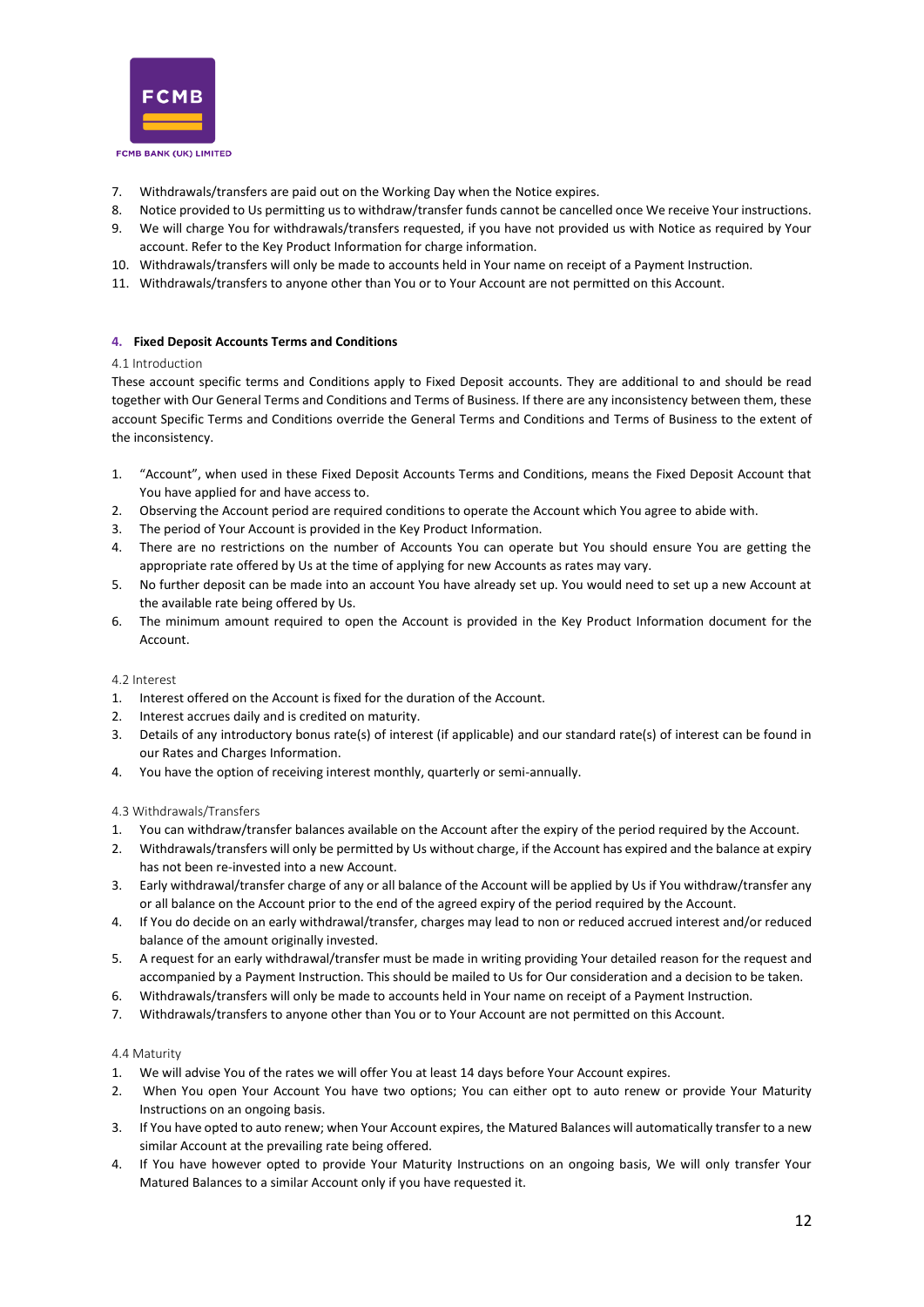

- 7. Withdrawals/transfers are paid out on the Working Day when the Notice expires.
- 8. Notice provided to Us permitting us to withdraw/transfer funds cannot be cancelled once We receive Your instructions.
- 9. We will charge You for withdrawals/transfers requested, if you have not provided us with Notice as required by Your account. Refer to the Key Product Information for charge information.
- 10. Withdrawals/transfers will only be made to accounts held in Your name on receipt of a Payment Instruction.
- 11. Withdrawals/transfers to anyone other than You or to Your Account are not permitted on this Account.

#### <span id="page-11-0"></span>**4. Fixed Deposit Accounts Terms and Conditions**

#### <span id="page-11-1"></span>4.1 Introduction

These account specific terms and Conditions apply to Fixed Deposit accounts. They are additional to and should be read together with Our General Terms and Conditions and Terms of Business. If there are any inconsistency between them, these account Specific Terms and Conditions override the General Terms and Conditions and Terms of Business to the extent of the inconsistency.

- 1. "Account", when used in these Fixed Deposit Accounts Terms and Conditions, means the Fixed Deposit Account that You have applied for and have access to.
- 2. Observing the Account period are required conditions to operate the Account which You agree to abide with.
- 3. The period of Your Account is provided in the Key Product Information.
- 4. There are no restrictions on the number of Accounts You can operate but You should ensure You are getting the appropriate rate offered by Us at the time of applying for new Accounts as rates may vary.
- 5. No further deposit can be made into an account You have already set up. You would need to set up a new Account at the available rate being offered by Us.
- 6. The minimum amount required to open the Account is provided in the Key Product Information document for the Account.

#### <span id="page-11-2"></span>4.2 Interest

- 1. Interest offered on the Account is fixed for the duration of the Account.
- 2. Interest accrues daily and is credited on maturity.
- 3. Details of any introductory bonus rate(s) of interest (if applicable) and our standard rate(s) of interest can be found in our Rates and Charges Information.
- 4. You have the option of receiving interest monthly, quarterly or semi-annually.

#### <span id="page-11-3"></span>4.3 Withdrawals/Transfers

- 1. You can withdraw/transfer balances available on the Account after the expiry of the period required by the Account.
- 2. Withdrawals/transfers will only be permitted by Us without charge, if the Account has expired and the balance at expiry has not been re-invested into a new Account.
- 3. Early withdrawal/transfer charge of any or all balance of the Account will be applied by Us if You withdraw/transfer any or all balance on the Account prior to the end of the agreed expiry of the period required by the Account.
- 4. If You do decide on an early withdrawal/transfer, charges may lead to non or reduced accrued interest and/or reduced balance of the amount originally invested.
- 5. A request for an early withdrawal/transfer must be made in writing providing Your detailed reason for the request and accompanied by a Payment Instruction. This should be mailed to Us for Our consideration and a decision to be taken.
- 6. Withdrawals/transfers will only be made to accounts held in Your name on receipt of a Payment Instruction.
- 7. Withdrawals/transfers to anyone other than You or to Your Account are not permitted on this Account.

#### <span id="page-11-4"></span>4.4 Maturity

- 1. We will advise You of the rates we will offer You at least 14 days before Your Account expires.
- 2. When You open Your Account You have two options; You can either opt to auto renew or provide Your Maturity Instructions on an ongoing basis.
- 3. If You have opted to auto renew; when Your Account expires, the Matured Balances will automatically transfer to a new similar Account at the prevailing rate being offered.
- 4. If You have however opted to provide Your Maturity Instructions on an ongoing basis, We will only transfer Your Matured Balances to a similar Account only if you have requested it.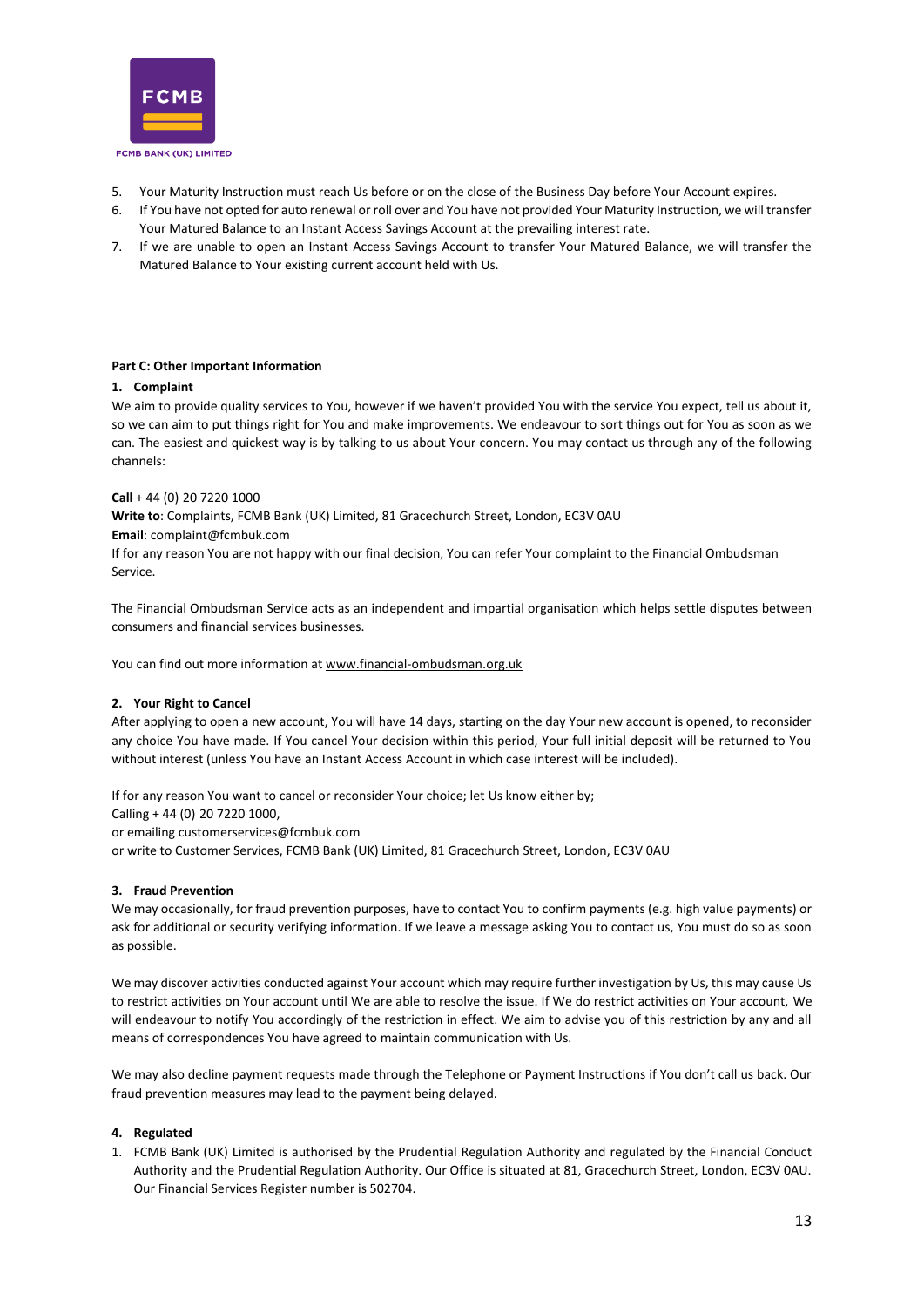

- 5. Your Maturity Instruction must reach Us before or on the close of the Business Day before Your Account expires.
- 6. If You have not opted for auto renewal or roll over and You have not provided Your Maturity Instruction, we will transfer Your Matured Balance to an Instant Access Savings Account at the prevailing interest rate.
- 7. If we are unable to open an Instant Access Savings Account to transfer Your Matured Balance, we will transfer the Matured Balance to Your existing current account held with Us.

# <span id="page-12-0"></span>**Part C: Other Important Information**

# <span id="page-12-1"></span>**1. Complaint**

We aim to provide quality services to You, however if we haven't provided You with the service You expect, tell us about it, so we can aim to put things right for You and make improvements. We endeavour to sort things out for You as soon as we can. The easiest and quickest way is by talking to us about Your concern. You may contact us through any of the following channels:

# **Call** + 44 (0) 20 7220 1000

**Write to**: Complaints, FCMB Bank (UK) Limited, 81 Gracechurch Street, London, EC3V 0AU

**Email**: complaint@fcmbuk.com

If for any reason You are not happy with our final decision, You can refer Your complaint to the Financial Ombudsman Service.

The Financial Ombudsman Service acts as an independent and impartial organisation which helps settle disputes between consumers and financial services businesses.

You can find out more information at [www.financial-ombudsman.org.uk](http://www.financial-ombudsman.org.uk/)

# <span id="page-12-2"></span>**2. Your Right to Cancel**

After applying to open a new account, You will have 14 days, starting on the day Your new account is opened, to reconsider any choice You have made. If You cancel Your decision within this period, Your full initial deposit will be returned to You without interest (unless You have an Instant Access Account in which case interest will be included).

If for any reason You want to cancel or reconsider Your choice; let Us know either by;

Calling + 44 (0) 20 7220 1000,

or emailing customerservices@fcmbuk.com

or write to Customer Services, FCMB Bank (UK) Limited, 81 Gracechurch Street, London, EC3V 0AU

#### <span id="page-12-3"></span>**3. Fraud Prevention**

We may occasionally, for fraud prevention purposes, have to contact You to confirm payments (e.g. high value payments) or ask for additional or security verifying information. If we leave a message asking You to contact us, You must do so as soon as possible.

We may discover activities conducted against Your account which may require further investigation by Us, this may cause Us to restrict activities on Your account until We are able to resolve the issue. If We do restrict activities on Your account, We will endeavour to notify You accordingly of the restriction in effect. We aim to advise you of this restriction by any and all means of correspondences You have agreed to maintain communication with Us.

We may also decline payment requests made through the Telephone or Payment Instructions if You don't call us back. Our fraud prevention measures may lead to the payment being delayed.

#### <span id="page-12-4"></span>**4. Regulated**

1. FCMB Bank (UK) Limited is authorised by the Prudential Regulation Authority and regulated by the Financial Conduct Authority and the Prudential Regulation Authority. Our Office is situated at 81, Gracechurch Street, London, EC3V 0AU. Our Financial Services Register number is 502704.